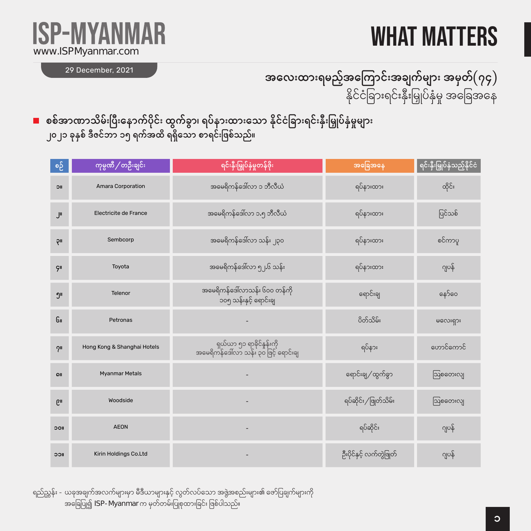## WHAT MATTERS



29 December, 2021

#### အလေးထားရမည့်အကြောင်းအချက်များ အမှတ် $(\eta \varsigma)$ နိုင်ငံခြားရင်းနှီးမြှုပ်နှံမှု အခြေအနေ

စစ်အာဏာသိမ်းပြီးနောက်ပိုင်း ထွက်ခွာ၊ ရပ်နားထားသော နိုင်ငံခြားရင်းနှီးမြှုပ်နှံမှုများ ၂၀၂၁ ခုနှစ် ဒီဇင်ဘာ ၁၅ ရက်အထိ ရရှိသော စာရင်းဖြစ်သည်။

| စဉ်             | ကုမ္ပဏီ / တဦးချင်း          | ရင်းနှီးမြှုပ်နှံမှုတန်ဖိုး                                         | အခြေအနေ                  | ရင်းနှီးမြှုပ်နှံသည့်နိုင်ငံ |
|-----------------|-----------------------------|---------------------------------------------------------------------|--------------------------|------------------------------|
| <b>IIC</b>      | Amara Corporation           | အမေရိကန်ဒေါ်လာ ၁ ဘီလီယံ                                             | ရပ်နားထား                | ထိုင်း                       |
| J١              | Electricite de France       | အမေရိကန်ဒေါ်လာ ၁.၅ ဘီလီယံ                                           | ရပ်နားထား                | ပြင်သစ်                      |
| ρı              | Sembcorp                    | အမေရိကန်ဒေါ်လာ သန်း ၂၃၀                                             | ရပ်နားထား                | စင်ကာပူ                      |
| <b>ÇII</b>      | Toyota                      | အမေရိကန်ဒေါ်လာ ၅၂.၆ သန်း                                            | ရပ်နားထား                | ဂျပန်                        |
| ງ"              | Telenor                     | အမေရိကန်ဒေါ်လာသန်း ၆၀၀ တန်ကို<br>.<br>၁၀၅ သန်းနှင့် ရောင်းချ        | ရောင်းချ                 | နော်ဝေ                       |
| GII             | Petronas                    |                                                                     | ပိတ်သိမ်း                | မလေးရှား                     |
| $2^{\prime}$    | Hong Kong & Shanghai Hotels | ရှယ်ယာ ၅၁ ရာခိုင်နှုန်းကို<br>အမေရိကန်ဒေါ်လာ သန်း ၃၀ ဖြင့် ရောင်းချ | ရပ်နား                   | ဟောင်ကောင်                   |
| <b>OII</b>      | <b>Myanmar Metals</b>       |                                                                     | ရောင်းချ ⁄ ထွက်ခွာ       | သြစတေးလျ                     |
| G <sub>II</sub> | Woodside                    |                                                                     | ရပ်ဆိုင်း / ဖြုတ်သိမ်း   | ဩစတေးလျ                      |
| <b>IIOC</b>     | <b>AEON</b>                 |                                                                     | ရပ်ဆိုင်း                | ဂျပန်                        |
| <b>IICC</b>     | Kirin Holdings Co.Ltd       |                                                                     | ဦးပိုင်နှင့် လက်တွဲဖြုတ် | ဂျပန်                        |

ရည်ညွှန်း - ယခုအချက်အလက်များမှာ မီဒီယာများနှင့် လွတ်လပ်သော အဖွဲ့အစည်းများ၏ ဖော်ပြချက်များကို အခြေပြု၍ ISP-Myanmar က မှတ်တမ်းပြုစုထားခြင်း ဖြစ်ပါသည်။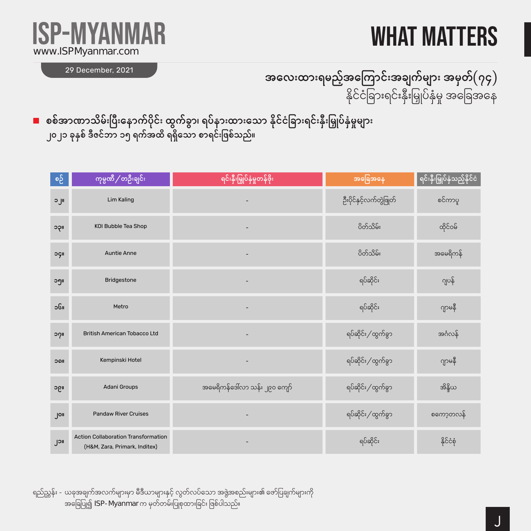#### WHAT MATTERS



29 December, 2021

#### အလေးထားရမည့်အကြောင်းအချက်များ အမှတ် $(\eta \varsigma)$ နိုင်ငံခြားရင်းနှီးမြှုပ်နှံမှု အခြေအနေ

စစ်အာဏာသိမ်းပြီးနောက်ပိုင်း ထွက်ခွာ၊ ရပ်နားထားသော နိုင်ငံခြားရင်းနှီးမြှုပ်နှံမှုများ ၂၀၂၁ ခုနှစ် ဒီဇင်ဘာ ၁၅ ရက်အထိ ရရှိသော စာရင်းဖြစ်သည်။

| စဉ် | ကုမ္ပဏီ / တဦးချင်း                                                   | ရင်းနှီးမြှုပ်နှံမှုတန်ဖိုး   | အခြေအနေ                 | ရင်းနှီးမြှုပ်နှံသည့်နိုင်ငံ |
|-----|----------------------------------------------------------------------|-------------------------------|-------------------------|------------------------------|
| ၁၂။ | Lim Kaling                                                           |                               | ဦးပိုင်နှင့်လက်တွဲဖြုတ် | စင်ကာပူ                      |
| ၁၃။ | KOI Bubble Tea Shop                                                  |                               | ပိတ်သိမ်း               | ထိုင်ဝမ်                     |
| oçı | <b>Auntie Anne</b>                                                   |                               | ပိတ်သိမ်း               | အမေရိကန်                     |
| ၁၅။ | Bridgestone                                                          |                               | ရပ်ဆိုင်း               | ဂျပန်                        |
| ၁၆။ | Metro                                                                |                               | ရပ်ဆိုင်း               | ဂျာမနီ                       |
| ၁၇။ | <b>British American Tobacco Ltd</b>                                  |                               | ရပ်ဆိုင်း / ထွက်ခွာ     | အင်္ဂလန်                     |
| ၁၀။ | Kempinski Hotel                                                      |                               | ရပ်ဆိုင်း / ထွက်ခွာ     | ဂျာမနီ                       |
| ၁၉။ | Adani Groups                                                         | အမေရိကန်ဒေါ်လာ သန်း ၂၉၀ ကျော် | ရပ်ဆိုင်း / ထွက်ခွာ     | အိန္ဒိယ                      |
| Jon | <b>Pandaw River Cruises</b>                                          |                               | ရပ်ဆိုင်း / ထွက်ခွာ     | စကော့တလန်                    |
| ၂၁။ | Action Collaboration Transformation<br>(H&M, Zara, Primark, Inditex) |                               | ရပ်ဆိုင်း               | နိုင်ငံစုံ                   |

ရည်ညွှန်း - ယခုအချက်အလက်များမှာ မီဒီယာများနှင့် လွတ်လပ်သော အဖွဲ့အစည်းများ၏ ဖော်ပြချက်များကို အခြေပြု၍ ISP-Myanmar က မှတ်တမ်းပြုစုထားခြင်း ဖြစ်ပါသည်။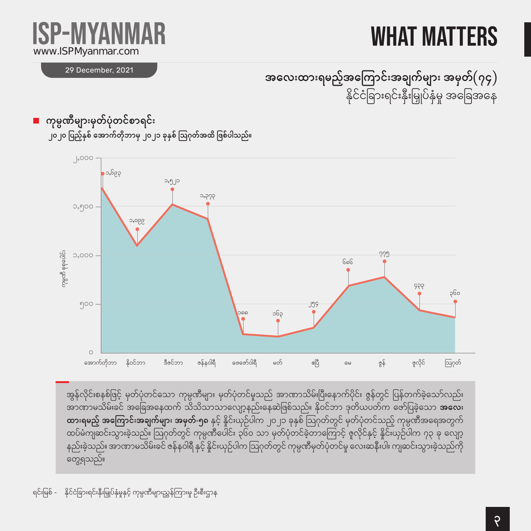### what matters

# w.ISPMyanmar.com

29 December, 2021

အလေးထားရမည့်အကြောင်းအချက်များ အမှတ် $(\eta \varsigma)$ နိုင်ငံခြားရင်းနှီးမြှုပ်နှံမှု အခြေအနေ





အွန်လိုင်းစနစ်ဖြင့် မှတ်ပုံတင်သော ကုမ္ပဏီများ မှတ်ပုံတင်မှုသည် အာဏာသိမ်းပြီးနောက်ပိုင်း ဇွန်တွင် ပြန်တက်ခဲ့သော်လည်း ်ကြေးကြောင့်ကြောင်းကြောင်းကို ထိုးသို့သို့သော အလေးကြောင်းနေခဲ့ပြစ်သည်။ နိုဝင်ဘာ ဒုတိယပတ်က ဖော်ပြခဲ့သော **အလေး** ထားရမ**ည့် အကြောင်းအချက်များ အမှတ်-၅၈** နှင့် နိူင်းယှဉ်ပါက ၂၀၂၁ ခုနှစ် ဩဂုတ်တွင် မှတ်ပုံတင်သည့် ကုမ္ပဏီအရေအတွက် ထပ်မံကျဆင်းသွားခဲ့သည်။ ဩဂုတ်တွင် ကုမ္ပဏီပေါင်း ၃၆၀ သာ မှတ်ပုံတင်ခဲ့တာကြောင့် ဇူလိုင်နှင့် နိူင်းယှဉ်ပါက ၇၃ ခု လျော့ နည်းခဲ့သည်။ အာဏာမသိမ်းခင် ဇန်နဝါရီ နှင့် နိူင်းယှဉ်ပါက ဩဂုတ်တွင် ကုမ္ပဏီမှတ်ပုံတင်မှု လေးဆနီးပါး ကျဆင်းသွားခဲ့သည်ကို တွေ့ရသည်။